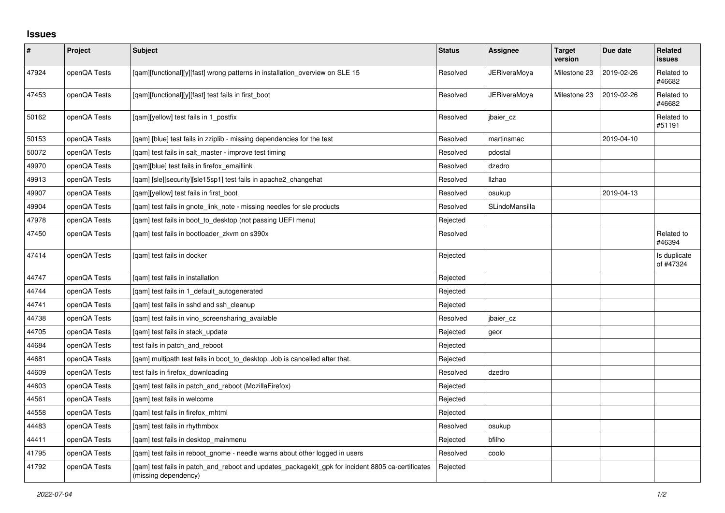## **Issues**

| $\pmb{\#}$ | Project      | <b>Subject</b>                                                                                                            | <b>Status</b> | <b>Assignee</b>     | <b>Target</b><br>version | Due date   | <b>Related</b><br>issues  |
|------------|--------------|---------------------------------------------------------------------------------------------------------------------------|---------------|---------------------|--------------------------|------------|---------------------------|
| 47924      | openQA Tests | [qam][functional][y][fast] wrong patterns in installation_overview on SLE 15                                              | Resolved      | <b>JERiveraMoya</b> | Milestone 23             | 2019-02-26 | Related to<br>#46682      |
| 47453      | openQA Tests | [qam][functional][y][fast] test fails in first_boot                                                                       | Resolved      | JERiveraMoya        | Milestone 23             | 2019-02-26 | Related to<br>#46682      |
| 50162      | openQA Tests | [gam][yellow] test fails in 1 postfix                                                                                     | Resolved      | jbaier cz           |                          |            | Related to<br>#51191      |
| 50153      | openQA Tests | [gam] [blue] test fails in zziplib - missing dependencies for the test                                                    | Resolved      | martinsmac          |                          | 2019-04-10 |                           |
| 50072      | openQA Tests | [gam] test fails in salt master - improve test timing                                                                     | Resolved      | pdostal             |                          |            |                           |
| 49970      | openQA Tests | [qam][blue] test fails in firefox_emaillink                                                                               | Resolved      | dzedro              |                          |            |                           |
| 49913      | openQA Tests | [qam] [sle][security][sle15sp1] test fails in apache2_changehat                                                           | Resolved      | Ilzhao              |                          |            |                           |
| 49907      | openQA Tests | [gam][yellow] test fails in first boot                                                                                    | Resolved      | osukup              |                          | 2019-04-13 |                           |
| 49904      | openQA Tests | [gam] test fails in gnote link note - missing needles for sle products                                                    | Resolved      | SLindoMansilla      |                          |            |                           |
| 47978      | openQA Tests | [gam] test fails in boot to desktop (not passing UEFI menu)                                                               | Rejected      |                     |                          |            |                           |
| 47450      | openQA Tests | [qam] test fails in bootloader_zkvm on s390x                                                                              | Resolved      |                     |                          |            | Related to<br>#46394      |
| 47414      | openQA Tests | [qam] test fails in docker                                                                                                | Rejected      |                     |                          |            | Is duplicate<br>of #47324 |
| 44747      | openQA Tests | [qam] test fails in installation                                                                                          | Rejected      |                     |                          |            |                           |
| 44744      | openQA Tests | [gam] test fails in 1 default autogenerated                                                                               | Rejected      |                     |                          |            |                           |
| 44741      | openQA Tests | [gam] test fails in sshd and ssh cleanup                                                                                  | Rejected      |                     |                          |            |                           |
| 44738      | openQA Tests | [qam] test fails in vino_screensharing_available                                                                          | Resolved      | jbaier_cz           |                          |            |                           |
| 44705      | openQA Tests | [qam] test fails in stack_update                                                                                          | Rejected      | geor                |                          |            |                           |
| 44684      | openQA Tests | test fails in patch_and_reboot                                                                                            | Rejected      |                     |                          |            |                           |
| 44681      | openQA Tests | [qam] multipath test fails in boot_to_desktop. Job is cancelled after that.                                               | Rejected      |                     |                          |            |                           |
| 44609      | openQA Tests | test fails in firefox downloading                                                                                         | Resolved      | dzedro              |                          |            |                           |
| 44603      | openQA Tests | [gam] test fails in patch and reboot (MozillaFirefox)                                                                     | Rejected      |                     |                          |            |                           |
| 44561      | openQA Tests | [gam] test fails in welcome                                                                                               | Rejected      |                     |                          |            |                           |
| 44558      | openQA Tests | [qam] test fails in firefox_mhtml                                                                                         | Rejected      |                     |                          |            |                           |
| 44483      | openQA Tests | [qam] test fails in rhythmbox                                                                                             | Resolved      | osukup              |                          |            |                           |
| 44411      | openQA Tests | [gam] test fails in desktop mainmenu                                                                                      | Rejected      | bfilho              |                          |            |                           |
| 41795      | openQA Tests | [gam] test fails in reboot gnome - needle warns about other logged in users                                               | Resolved      | coolo               |                          |            |                           |
| 41792      | openQA Tests | [qam] test fails in patch_and_reboot and updates_packagekit_gpk for incident 8805 ca-certificates<br>(missing dependency) | Rejected      |                     |                          |            |                           |